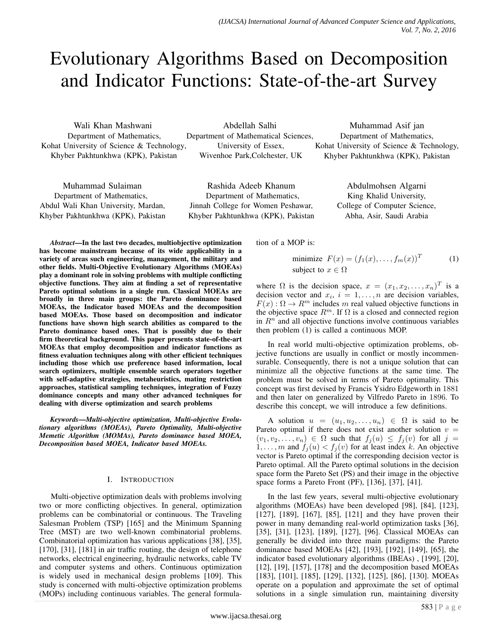# Evolutionary Algorithms Based on Decomposition and Indicator Functions: State-of-the-art Survey

Wali Khan Mashwani Department of Mathematics, Kohat University of Science & Technology, Khyber Pakhtunkhwa (KPK), Pakistan

Abdellah Salhi Department of Mathematical Sciences, University of Essex, Wivenhoe Park,Colchester, UK

Muhammad Asif jan Department of Mathematics, Kohat University of Science & Technology, Khyber Pakhtunkhwa (KPK), Pakistan

Muhammad Sulaiman Department of Mathematics, Abdul Wali Khan University, Mardan, Khyber Pakhtunkhwa (KPK), Pakistan

Rashida Adeeb Khanum Department of Mathematics, Jinnah College for Women Peshawar, Khyber Pakhtunkhwa (KPK), Pakistan

Abdulmohsen Algarni King Khalid University, College of Computer Science, Abha, Asir, Saudi Arabia

*Abstract*—In the last two decades, multiobjective optimization has become mainstream because of its wide applicability in a variety of areas such engineering, management, the military and other fields. Multi-Objective Evolutionary Algorithms (MOEAs) play a dominant role in solving problems with multiple conflicting objective functions. They aim at finding a set of representative Pareto optimal solutions in a single run. Classical MOEAs are broadly in three main groups: the Pareto dominance based MOEAs, the Indicator based MOEAs and the decomposition based MOEAs. Those based on decomposition and indicator functions have shown high search abilities as compared to the Pareto dominance based ones. That is possibly due to their firm theoretical background. This paper presents state-of-the-art MOEAs that employ decomposition and indicator functions as fitness evaluation techniques along with other efficient techniques including those which use preference based information, local search optimizers, multiple ensemble search operators together with self-adaptive strategies, metaheuristics, mating restriction approaches, statistical sampling techniques, integration of Fuzzy dominance concepts and many other advanced techniques for dealing with diverse optimization and search problems

*Keywords*—*Multi-objective optimization, Multi-objective Evolutionary algorithms (MOEAs), Pareto Optimality, Multi-objective Memetic Algorithm (MOMAs), Pareto dominance based MOEA, Decomposition based MOEA, Indicator based MOEAs.*

## I. INTRODUCTION

Multi-objective optimization deals with problems involving two or more conflicting objectives. In general, optimization problems can be combinatorial or continuous. The Traveling Salesman Problem (TSP) [165] and the Minimum Spanning Tree (MST) are two well-known combinatorial problems. Combinatorial optimization has various applications [38], [35], [170], [31], [181] in air traffic routing, the design of telephone networks, electrical engineering, hydraulic networks, cable TV and computer systems and others. Continuous optimization is widely used in mechanical design problems [109]. This study is concerned with multi-objective optimization problems (MOPs) including continuous variables. The general formulation of a MOP is:

minimize 
$$
F(x) = (f_1(x), \dots, f_m(x))^T
$$
 (1)  
subject to  $x \in \Omega$ 

where  $\Omega$  is the decision space,  $x = (x_1, x_2, \dots, x_n)^T$  is a decision vector and  $x_i$ ,  $i = 1, \ldots, n$  are decision variables,  $F(x): \Omega \to \mathbb{R}^m$  includes *m* real valued objective functions in the objective space  $R^m$ . If  $\Omega$  is a closed and connected region in  $R^n$  and all objective functions involve continuous variables then problem (1) is called a continuous MOP.

In real world multi-objective optimization problems, objective functions are usually in conflict or mostly incommensurable. Consequently, there is not a unique solution that can minimize all the objective functions at the same time. The problem must be solved in terms of Pareto optimality. This concept was first devised by Francis Ysidro Edgeworth in 1881 and then later on generalized by Vilfredo Pareto in 1896. To describe this concept, we will introduce a few definitions.

A solution  $u = (u_1, u_2, \dots, u_n) \in \Omega$  is said to be Pareto optimal if there does not exist another solution  $v =$  $(v_1, v_2, \ldots, v_n) \in \Omega$  such that  $f_i(u) \leq f_i(v)$  for all  $j =$ 1, ..., m and  $f_i(u) < f_i(v)$  for at least index k. An objective vector is Pareto optimal if the corresponding decision vector is Pareto optimal. All the Pareto optimal solutions in the decision space form the Pareto Set (PS) and their image in the objective space forms a Pareto Front (PF), [136], [37], [41].

In the last few years, several multi-objective evolutionary algorithms (MOEAs) have been developed [98], [84], [123], [127], [189], [167], [85], [121] and they have proven their power in many demanding real-world optimization tasks [36], [35], [31], [123], [189], [127], [96]. Classical MOEAs can generally be divided into three main paradigms: the Pareto dominance based MOEAs [42], [193], [192], [149], [65], the indicator based evolutionary algorithms (IBEAs) , [199], [20], [12], [19], [157], [178] and the decomposition based MOEAs [183], [101], [185], [129], [132], [125], [86], [130]. MOEAs operate on a population and approximate the set of optimal solutions in a single simulation run, maintaining diversity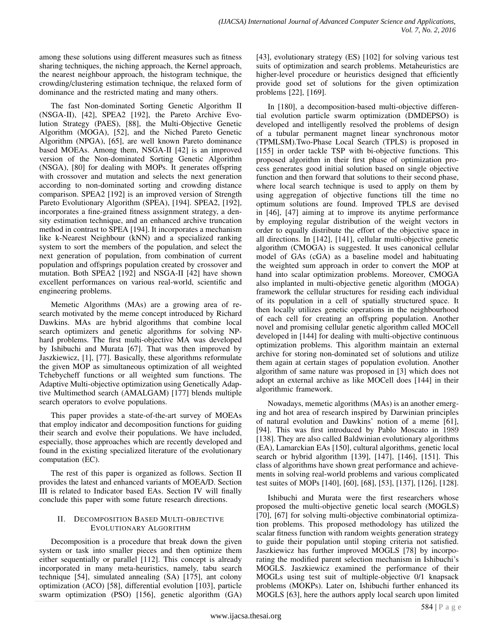among these solutions using different measures such as fitness sharing techniques, the niching approach, the Kernel approach, the nearest neighbour approach, the histogram technique, the crowding/clustering estimation technique, the relaxed form of dominance and the restricted mating and many others.

The fast Non-dominated Sorting Genetic Algorithm II (NSGA-II), [42], SPEA2 [192], the Pareto Archive Evolution Strategy (PAES), [88], the Multi-Objective Genetic Algorithm (MOGA), [52], and the Niched Pareto Genetic Algorithm (NPGA), [65], are well known Pareto dominance based MOEAs. Among them, NSGA-II [42] is an improved version of the Non-dominated Sorting Genetic Algorithm (NSGA), [80] for dealing with MOPs. It generates offspring with crossover and mutation and selects the next generation according to non-dominated sorting and crowding distance comparison. SPEA2 [192] is an improved version of Strength Pareto Evolutionary Algorithm (SPEA), [194]. SPEA2, [192], incorporates a fine-grained fitness assignment strategy, a density estimation technique, and an enhanced archive truncation method in contrast to SPEA [194]. It incorporates a mechanism like k-Nearest Neighbour (kNN) and a specialized ranking system to sort the members of the population, and select the next generation of population, from combination of current population and offsprings population created by crossover and mutation. Both SPEA2 [192] and NSGA-II [42] have shown excellent performances on various real-world, scientific and engineering problems.

Memetic Algorithms (MAs) are a growing area of research motivated by the meme concept introduced by Richard Dawkins. MAs are hybrid algorithms that combine local search optimizers and genetic algorithms for solving NPhard problems. The first multi-objective MA was developed by Ishibuchi and Murata [67]. That was then improved by Jaszkiewicz, [1], [77]. Basically, these algorithms reformulate the given MOP as simultaneous optimization of all weighted Tchebycheff functions or all weighted sum functions. The Adaptive Multi-objective optimization using Genetically Adaptive Multimethod search (AMALGAM) [177] blends multiple search operators to evolve populations.

This paper provides a state-of-the-art survey of MOEAs that employ indicator and decomposition functions for guiding their search and evolve their populations. We have included, especially, those approaches which are recently developed and found in the existing specialized literature of the evolutionary computation (EC).

The rest of this paper is organized as follows. Section II provides the latest and enhanced variants of MOEA/D. Section III is related to Indicator based EAs. Section IV will finally conclude this paper with some future research directions.

### II. DECOMPOSITION BASED MULTI-OBJECTIVE EVOLUTIONARY ALGORITHM

Decomposition is a procedure that break down the given system or task into smaller pieces and then optimize them either sequentially or parallel [112]. This concept is already incorporated in many meta-heuristics, namely, tabu search technique [54], simulated annealing (SA) [175], ant colony optimization (ACO) [58], differential evolution [103], particle swarm optimization (PSO) [156], genetic algorithm (GA) [43], evolutionary strategy (ES) [102] for solving various test suits of optimization and search problems. Metaheuristics are higher-level procedure or heuristics designed that efficiently provide good set of solutions for the given optimization problems [22], [169].

In [180], a decomposition-based multi-objective differential evolution particle swarm optimization (DMDEPSO) is developed and intelligently resolved the problems of design of a tubular permanent magnet linear synchronous motor (TPMLSM).Two-Phase Local Search (TPLS) is proposed in [155] in order tackle TSP with bi-objective functions. This proposed algorithm in their first phase of optimization process generates good initial solution based on single objective function and then forward that solutions to their second phase, where local search technique is used to apply on them by using aggregation of objective functions till the time no optimum solutions are found. Improved TPLS are devised in [46], [47] aiming at to improve its anytime performance by employing regular distribution of the weight vectors in order to equally distribute the effort of the objective space in all directions. In [142], [141], cellular multi-objective genetic algorithm (CMOGA) is suggested. It uses canonical cellular model of GAs (cGA) as a baseline model and habituating the weighted sum approach in order to convert the MOP at hand into scalar optimization problems. Moreover, CMOGA also implanted in multi-objective genetic algorithm (MOGA) framework the cellular structures for residing each individual of its population in a cell of spatially structured space. It then locally utilizes genetic operations in the neighbourhood of each cell for creating an offspring population. Another novel and promising cellular genetic algorithm called MOCell developed in [144] for dealing with multi-objective continuous optimization problems. This algorithm maintain an external archive for storing non-dominated set of solutions and utilize them again at certain stages of population evolution. Another algorithm of same nature was proposed in [3] which does not adopt an external archive as like MOCell does [144] in their algorithmic framework.

Nowadays, memetic algorithms (MAs) is an another emerging and hot area of research inspired by Darwinian principles of natural evolution and Dawkins' notion of a meme [61], [94]. This was first introduced by Pablo Moscato in 1989 [138]. They are also called Baldwinian evolutionary algorithms (EA), Lamarckian EAs [150], cultural algorithms, genetic local search or hybrid algorithm [139], [147], [146], [151]. This class of algorithms have shown great performance and achievements in solving real-world problems and various complicated test suites of MOPs [140], [60], [68], [53], [137], [126], [128].

Ishibuchi and Murata were the first researchers whose proposed the multi-objective genetic local search (MOGLS) [70], [67] for solving multi-objective combinatorial optimization problems. This proposed methodology has utilized the scalar fitness function with random weights generation strategy to guide their population until stoping criteria not satisfied. Jaszkiewicz has further improved MOGLS [78] by incorporating the modified parent selection mechanism in Ishibuchi's MOGLS. Jaszkiewicz examined the performance of their MOGLs using test suit of multiple-objective 0/1 knapsack problems (MOKPs). Later on, Ishibuchi further enhanced its MOGLS [63], here the authors apply local search upon limited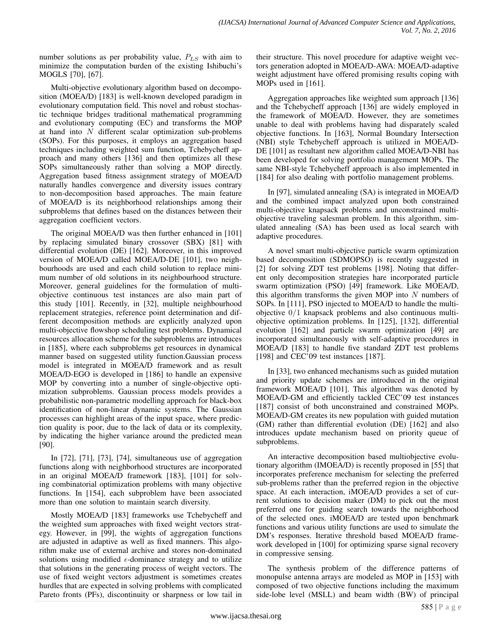number solutions as per probability value, *PLS* with aim to minimize the computation burden of the existing Ishibuchi's MOGLS [70], [67].

Multi-objective evolutionary algorithm based on decomposition (MOEA/D) [183] is well-known developed paradigm in evolutionary computation field. This novel and robust stochastic technique bridges traditional mathematical programming and evolutionary computing (EC) and transforms the MOP at hand into *N* different scalar optimization sub-problems (SOPs). For this purposes, it employs an aggregation based techniques including weighted sum function, Tchebycheff approach and many others [136] and then optimizes all these SOPs simultaneously rather than solving a MOP directly. Aggregation based fitness assignment strategy of MOEA/D naturally handles convergence and diversity issues contrary to non-decomposition based approaches. The main feature of MOEA/D is its neighborhood relationships among their subproblems that defines based on the distances between their aggregation coefficient vectors.

The original MOEA/D was then further enhanced in [101] by replacing simulated binary crossover (SBX) [81] with differential evolution (DE) [162]. Moreover, in this improved version of MOEA/D called MOEA/D-DE [101], two neighbourhoods are used and each child solution to replace minimum number of old solutions in its neighbourhood structure. Moreover, general guidelines for the formulation of multiobjective continuous test instances are also main part of this study [101]. Recently, in [32], multiple neighbourhood replacement strategies, reference point determination and different decomposition methods are explicitly analyzed upon multi-objective flowshop scheduling test problems. Dynamical resources allocation scheme for the subproblems are introduces in [185], where each subproblems get resources in dynamical manner based on suggested utility function.Gaussian process model is integrated in MOEA/D framework and as result MOEA/D-EGO is developed in [186] to handle an expensive MOP by converting into a number of single-objective optimization subproblems. Gaussian process models provides a probabilistic non-parametric modelling approach for black-box identification of non-linear dynamic systems. The Gaussian processes can highlight areas of the input space, where prediction quality is poor, due to the lack of data or its complexity, by indicating the higher variance around the predicted mean [90].

In [72], [71], [73], [74], simultaneous use of aggregation functions along with neighborhood structures are incorporated in an original MOEA/D framework [183], [101] for solving combinatorial optimization problems with many objective functions. In [154], each subproblem have been associated more than one solution to maintain search diversity.

Mostly MOEA/D [183] frameworks use Tchebycheff and the weighted sum approaches with fixed weight vectors strategy. However, in [99], the wights of aggregation functions are adjusted in adaptive as well as fixed manners. This algorithm make use of external archive and stores non-dominated solutions using modified *ϵ*-dominance strategy and to utilize that solutions in the generating process of weight vectors. The use of fixed weight vectors adjustment is sometimes creates hurdles that are expected in solving problems with complicated Pareto fronts (PFs), discontinuity or sharpness or low tail in their structure. This novel procedure for adaptive weight vectors generation adopted in MOEA/D-AWA: MOEA/D-adaptive weight adjustment have offered promising results coping with MOPs used in [161].

Aggregation approaches like weighted sum approach [136] and the Tchebycheff approach [136] are widely employed in the framework of MOEA/D. However, they are sometimes unable to deal with problems having had disparately scaled objective functions. In [163], Normal Boundary Intersection (NBI) style Tchebycheff approach is utilized in MOEA/D-DE [101] as resultant new algorithm called MOEA/D-NBI has been developed for solving portfolio management MOPs. The same NBI-style Tchebycheff approach is also implemented in [184] for also dealing with portfolio management problems.

In [97], simulated annealing (SA) is integrated in MOEA/D and the combined impact analyzed upon both constrained multi-objective knapsack problems and unconstrained multiobjective traveling salesman problem. In this algorithm, simulated annealing (SA) has been used as local search with adaptive procedures.

A novel smart multi-objective particle swarm optimization based decomposition (SDMOPSO) is recently suggested in [2] for solving ZDT test problems [198]. Noting that different only decomposition strategies hare incorporated particle swarm optimization (PSO) [49] framework. Like MOEA/D, this algorithm transforms the given MOP into *N* numbers of SOPs. In [111], PSO injected to MOEA/D to handle the multiobjective 0*/*1 knapsack problems and also continuous multiobjective optimization problems. In [125], [132], differential evolution [162] and particle swarm optimization [49] are incorporated simultaneously with self-adaptive procedures in MOEA/D [183] to handle five standard ZDT test problems [198] and CEC'09 test instances [187].

In [33], two enhanced mechanisms such as guided mutation and priority update schemes are introduced in the original framework MOEA/D [101]. This algorithm was denoted by MOEA/D-GM and efficiently tackled CEC'09 test instances [187] consist of both unconstrained and constrained MOPs. MOEA/D-GM creates its new population with guided mutation (GM) rather than differential evolution (DE) [162] and also introduces update mechanism based on priority queue of subproblems.

An interactive decomposition based multiobjective evolutionary algorithm (IMOEA/D) is recently proposed in [55] that incorporates preference mechanism for selecting the preferred sub-problems rather than the preferred region in the objective space. At each interaction, iMOEA/D provides a set of current solutions to decision maker (DM) to pick out the most preferred one for guiding search towards the neighborhood of the selected ones. iMOEA/D are tested upon benchmark functions and various utility functions are used to simulate the DM's responses. Iterative threshold based MOEA/D framework developed in [100] for optimizing sparse signal recovery in compressive sensing.

The synthesis problem of the difference patterns of monopulse antenna arrays are modeled as MOP in [153] with composed of two objective functions including the maximum side-lobe level (MSLL) and beam width (BW) of principal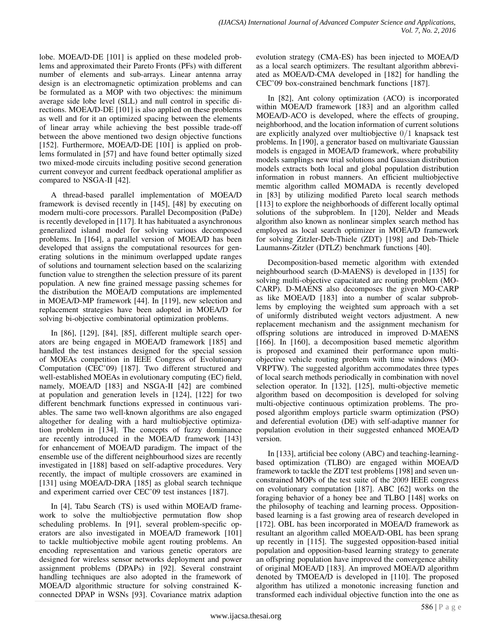lobe. MOEA/D-DE [101] is applied on these modeled problems and approximated their Pareto Fronts (PFs) with different number of elements and sub-arrays. Linear antenna array design is an electromagnetic optimization problems and can be formulated as a MOP with two objectives: the minimum average side lobe level (SLL) and null control in specific directions. MOEA/D-DE [101] is also applied on these problems as well and for it an optimized spacing between the elements of linear array while achieving the best possible trade-off between the above mentioned two design objective functions [152]. Furthermore, MOEA/D-DE [101] is applied on problems formulated in [57] and have found better optimally sized two mixed-mode circuits including positive second generation current conveyor and current feedback operational amplifier as compared to NSGA-II [42].

A thread-based parallel implementation of MOEA/D framework is devised recently in [145], [48] by executing on modern multi-core processors. Parallel Decomposition (PaDe) is recently developed in [117]. It has habituated a asynchronous generalized island model for solving various decomposed problems. In [164], a parallel version of MOEA/D has been developed that assigns the computational resources for generating solutions in the minimum overlapped update ranges of solutions and tournament selection based on the scalarizing function value to strengthen the selection pressure of its parent population. A new fine grained message passing schemes for the distribution the MOEA/D computations are implemented in MOEA/D-MP framework [44]. In [119], new selection and replacement strategies have been adopted in MOEA/D for solving bi-objective combinatorial optimization problems.

In [86], [129], [84], [85], different multiple search operators are being engaged in MOEA/D framework [185] and handled the test instances designed for the special session of MOEAs competition in IEEE Congress of Evolutionary Computation (CEC'09) [187]. Two different structured and well-established MOEAs in evolutionary computing (EC) field, namely, MOEA/D [183] and NSGA-II [42] are combined at population and generation levels in [124], [122] for two different benchmark functions expressed in continuous variables. The same two well-known algorithms are also engaged altogether for dealing with a hard multiobjective optimization problem in [134]. The concepts of fuzzy dominance are recently introduced in the MOEA/D framework [143] for enhancement of MOEA/D paradigm. The impact of the ensemble use of the different neighbourhood sizes are recently investigated in [188] based on self-adaptive procedures. Very recently, the impact of multiple crossovers are examined in [131] using MOEA/D-DRA [185] as global search technique and experiment carried over CEC'09 test instances [187].

In [4], Tabu Search (TS) is used within MOEA/D framework to solve the multiobjective permutation flow shop scheduling problems. In [91], several problem-specific operators are also investigated in MOEA/D framework [101] to tackle multiobjective mobile agent routing problems. An encoding representation and various genetic operators are designed for wireless sensor networks deployment and power assignment problems (DPAPs) in [92]. Several constraint handling techniques are also adopted in the framework of MOEA/D algorithmic structure for solving constrained Kconnected DPAP in WSNs [93]. Covariance matrix adaption evolution strategy (CMA-ES) has been injected to MOEA/D as a local search optimizers. The resultant algorithm abbreviated as MOEA/D-CMA developed in [182] for handling the CEC'09 box-constrained benchmark functions [187].

In [82], Ant colony optimization (ACO) is incorporated within MOEA/D framework [183] and an algorithm called MOEA/D-ACO is developed, where the effects of grouping, neighborhood, and the location information of current solutions are explicitly analyzed over multiobjective 0*/*1 knapsack test problems. In [190], a generator based on multivariate Gaussian models is engaged in MOEA/D framework, where probability models samplings new trial solutions and Gaussian distribution models extracts both local and global population distribution information in robust manners. An efficient multiobjective memtic algorithm called MOMADA is recently developed in [83] by utilizing modified Pareto local search methods [113] to explore the neighborhoods of different locally optimal solutions of the subproblem. In [120], Nelder and Meads algorithm also known as nonlinear simplex search method has employed as local search optimizer in MOEA/D framework for solving Zitzler-Deb-Thiele (ZDT) [198] and Deb-Thiele Laumanns-Zitzler (DTLZ) benchmark functions [40].

Decomposition-based memetic algorithm with extended neighbourhood search (D-MAENS) is developed in [135] for solving multi-objective capacitated arc routing problem (MO-CARP). D-MAENS also decomposes the given MO-CARP as like MOEA/D [183] into a number of scalar subproblems by employing the weighted sum approach with a set of uniformly distributed weight vectors adjustment. A new replacement mechanism and the assignment mechanism for offspring solutions are introduced in improved D-MAENS [166]. In [160], a decomposition based memetic algorithm is proposed and examined their performance upon multiobjective vehicle routing problem with time windows (MO-VRPTW). The suggested algorithm accommodates three types of local search methods periodically in combination with novel selection operator. In [132], [125], multi-objective memetic algorithm based on decomposition is developed for solving multi-objective continuous optimization problems. The proposed algorithm employs particle swarm optimization (PSO) and deferential evolution (DE) with self-adaptive manner for population evolution in their suggested enhanced MOEA/D version.

In [133], artificial bee colony (ABC) and teaching-learningbased optimization (TLBO) are engaged within MOEA/D framework to tackle the ZDT test problems [198] and seven unconstrained MOPs of the test suite of the 2009 IEEE congress on evolutionary computation [187]. ABC [62] works on the foraging behavior of a honey bee and TLBO [148] works on the philosophy of teaching and learning process. Oppositionbased learning is a fast growing area of research developed in [172]. OBL has been incorporated in MOEA/D framework as resultant an algorithm called MOEA/D-OBL has been sprang up recently in [115]. The suggested opposition-based initial population and opposition-based learning strategy to generate an offspring population have improved the convergence ability of original MOEA/D [183]. An improved MOEA/D algorithm denoted by TMOEA/D is developed in [110]. The proposed algorithm has utilized a monotonic increasing function and transformed each individual objective function into the one as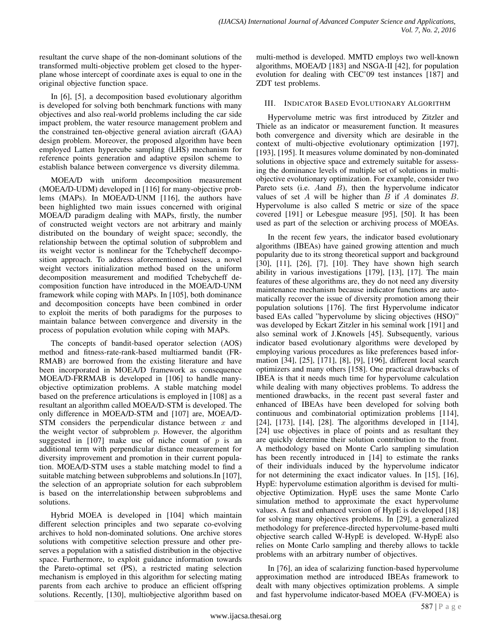resultant the curve shape of the non-dominant solutions of the transformed multi-objective problem get closed to the hyperplane whose intercept of coordinate axes is equal to one in the original objective function space.

In [6], [5], a decomposition based evolutionary algorithm is developed for solving both benchmark functions with many objectives and also real-world problems including the car side impact problem, the water resource management problem and the constrained ten-objective general aviation aircraft (GAA) design problem. Moreover, the proposed algorithm have been employed Latten hypercube sampling (LHS) mechanism for reference points generation and adaptive epsilon scheme to establish balance between convergence vs diversity dilemma.

MOEA/D with uniform decomposition measurement (MOEA/D-UDM) developed in [116] for many-objective problems (MAPs). In MOEA/D-UNM [116], the authors have been highlighted two main issues concerned with original MOEA/D paradigm dealing with MAPs, firstly, the number of constructed weight vectors are not arbitrary and mainly distributed on the boundary of weight space; secondly, the relationship between the optimal solution of subproblem and its weight vector is nonlinear for the Tchebycheff decomposition approach. To address aforementioned issues, a novel weight vectors initialization method based on the uniform decomposition measurement and modified Tchebycheff decomposition function have introduced in the MOEA/D-UNM framework while coping with MAPs. In [105], both dominance and decomposition concepts have been combined in order to exploit the merits of both paradigms for the purposes to maintain balance between convergence and diversity in the process of population evolution while coping with MAPs.

The concepts of bandit-based operator selection (AOS) method and fitness-rate-rank-based multiarmed bandit (FR-RMAB) are borrowed from the existing literature and have been incorporated in MOEA/D framework as consequence MOEA/D-FRRMAB is developed in [106] to handle manyobjective optimization problems. A stable matching model based on the preference articulations is employed in [108] as a resultant an algorithm called MOEA/D-STM is developed. The only difference in MOEA/D-STM and [107] are, MOEA/D-STM considers the perpendicular distance between *x* and the weight vector of subproblem *p*. However, the algorithm suggested in  $[107]$  make use of niche count of  $p$  is an additional term with perpendicular distance measurement for diversity improvement and promotion in their current population. MOEA/D-STM uses a stable matching model to find a suitable matching between subproblems and solutions.In [107], the selection of an appropriate solution for each subproblem is based on the interrelationship between subproblems and solutions.

Hybrid MOEA is developed in [104] which maintain different selection principles and two separate co-evolving archives to hold non-dominated solutions. One archive stores solutions with competitive selection pressure and other preserves a population with a satisfied distribution in the objective space. Furthermore, to exploit guidance information towards the Pareto-optimal set (PS), a restricted mating selection mechanism is employed in this algorithm for selecting mating parents from each archive to produce an efficient offspring solutions. Recently, [130], multiobjective algorithm based on multi-method is developed. MMTD employs two well-known algorithms, MOEA/D [183] and NSGA-II [42], for population evolution for dealing with CEC'09 test instances [187] and ZDT test problems.

# III. INDICATOR BASED EVOLUTIONARY ALGORITHM

Hypervolume metric was first introduced by Zitzler and Thiele as an indicator or measurement function. It measures both convergence and diversity which are desirable in the context of multi-objective evolutionary optimization [197], [193], [195]. It measures volume dominated by non-dominated solutions in objective space and extremely suitable for assessing the dominance levels of multiple set of solutions in multiobjective evolutionary optimization. For example, consider two Pareto sets (i.e. *A*and *B*), then the hypervolume indicator values of set *A* will be higher than *B* if *A* dominates *B*. Hypervolume is also called S metric or size of the space covered [191] or Lebesgue measure [95], [50]. It has been used as part of the selection or archiving process of MOEAs.

In the recent few years, the indicator based evolutionary algorithms (IBEAs) have gained growing attention and much popularity due to its strong theoretical support and background [30], [11], [26], [7], [10]. They have shown high search ability in various investigations [179], [13], [17]. The main features of these algorithms are, they do not need any diversity maintenance mechanism because indicator functions are automatically recover the issue of diversity promotion among their population solutions [176]. The first Hypervolume indicator based EAs called "hypervolume by slicing objectives (HSO)" was developed by Eckart Zitzler in his seminal work [191] and also seminal work of J.Knowels [45]. Subsequently, various indicator based evolutionary algorithms were developed by employing various procedures as like preferences based information [34], [25], [171], [8], [9], [196], different local search optimizers and many others [158]. One practical drawbacks of IBEA is that it needs much time for hypervolume calculation while dealing with many objectives problems. To address the mentioned drawbacks, in the recent past several faster and enhanced of IBEAs have been developed for solving both continuous and combinatorial optimization problems [114], [24], [173], [14], [28]. The algorithms developed in [114], [24] use objectives in place of points and as resultant they are quickly determine their solution contribution to the front. A methodology based on Monte Carlo sampling simulation has been recently introduced in [14] to estimate the ranks of their individuals induced by the hypervolume indicator for not determining the exact indicator values. In [15], [16], HypE: hypervolume estimation algorithm is devised for multiobjective Optimization. HypE uses the same Monte Carlo simulation method to approximate the exact hypervolume values. A fast and enhanced version of HypE is developed [18] for solving many objectives problems. In [29], a generalized methodology for preference-directed hypervolume-based multi objective search called W-HypE is developed. W-HypE also relies on Monte Carlo sampling and thereby allows to tackle problems with an arbitrary number of objectives.

In [76], an idea of scalarizing function-based hypervolume approximation method are introduced IBEAs framework to dealt with many objectives optimization problems. A simple and fast hypervolume indicator-based MOEA (FV-MOEA) is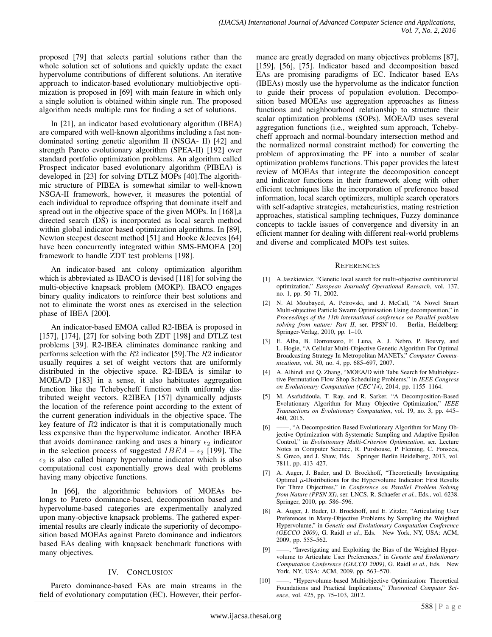proposed [79] that selects partial solutions rather than the whole solution set of solutions and quickly update the exact hypervolume contributions of different solutions. An iterative approach to indicator-based evolutionary multiobjective optimization is proposed in [69] with main feature in which only a single solution is obtained within single run. The proposed algorithm needs multiple runs for finding a set of solutions.

In [21], an indicator based evolutionary algorithm (IBEA) are compared with well-known algorithms including a fast nondominated sorting genetic algorithm II (NSGA- II) [42] and strength Pareto evolutionary algorithm (SPEA-II) [192] over standard portfolio optimization problems. An algorithm called Prospect indicator based evolutionary algorithm (PIBEA) is developed in [23] for solving DTLZ MOPs [40].The algorithmic structure of PIBEA is somewhat similar to well-known NSGA-II framework, however, it measures the potential of each individual to reproduce offspring that dominate itself and spread out in the objective space of the given MOPs. In [168], a directed search (DS) is incorporated as local search method within global indicator based optimization algorithms. In [89], Newton steepest descent method [51] and Hooke &Jeeves [64] have been concurrently integrated within SMS-EMOEA [20] framework to handle ZDT test problems [198].

An indicator-based ant colony optimization algorithm which is abbreviated as IBACO is devised [118] for solving the multi-objective knapsack problem (MOKP). IBACO engages binary quality indicators to reinforce their best solutions and not to eliminate the worst ones as exercised in the selection phase of IBEA [200].

An indicator-based EMOA called R2-IBEA is proposed in [157], [174], [27] for solving both ZDT [198] and DTLZ test problems [39]. R2-IBEA eliminates dominance ranking and performs selection with the *R*2 indicator [59].The *R*2 indicator usually requires a set of weight vectors that are uniformly distributed in the objective space. R2-IBEA is similar to MOEA/D [183] in a sense, it also habituates aggregation function like the Tchebycheff function with uniformly distributed weight vectors. R2IBEA [157] dynamically adjusts the location of the reference point according to the extent of the current generation individuals in the objective space. The key feature of *R*2 indicator is that it is computationally much less expensive than the hypervolume indicator. Another IBEA that avoids dominance ranking and uses a binary *ϵ*<sup>2</sup> indicator in the selection process of suggested  $IBEA - \epsilon_2$  [199]. The  $\epsilon_2$  is also called binary hypervolume indicator which is also computational cost exponentially grows deal with problems having many objective functions.

In [66], the algorithmic behaviors of MOEAs belongs to Pareto dominance-based, decomposition based and hypervolume-based categories are experimentally analyzed upon many-objective knapsack problems. The gathered experimental results are clearly indicate the superiority of decomposition based MOEAs against Pareto dominance and indicators based EAs dealing with knapsack benchmark functions with many objectives.

## IV. CONCLUSION

Pareto dominance-based EAs are main streams in the field of evolutionary computation (EC). However, their performance are greatly degraded on many objectives problems [87], [159], [56], [75]. Indicator based and decomposition based EAs are promising paradigms of EC. Indicator based EAs (IBEAs) mostly use the hypervolume as the indicator function to guide their process of population evolution. Decomposition based MOEAs use aggregation approaches as fitness functions and neighbourhood relationship to structure their scalar optimization problems (SOPs). MOEA/D uses several aggregation functions (i.e., weighted sum approach, Tchebycheff approach and normal-boundary intersection method and the normalized normal constraint method) for converting the problem of approximating the PF into a number of scalar optimization problems functions. This paper provides the latest review of MOEAs that integrate the decomposition concept and indicator functions in their framework along with other efficient techniques like the incorporation of preference based information, local search optimizers, multiple search operators with self-adaptive strategies, metaheuristics, mating restriction approaches, statistical sampling techniques, Fuzzy dominance concepts to tackle issues of convergence and diversity in an efficient manner for dealing with different real-world problems and diverse and complicated MOPs test suites.

### **REFERENCES**

- [1] A.Jaszkiewicz, "Genetic local search for multi-objective combinatorial optimization," *European Journalof Operational Research*, vol. 137, no. 1, pp. 50–71, 2002.
- [2] N. Al Moubayed, A. Petrovski, and J. McCall, "A Novel Smart Multi-objective Particle Swarm Optimisation Using decomposition," in *Proceedings of the 11th international conference on Parallel problem solving from nature: Part II*, ser. PPSN'10. Berlin, Heidelberg: Springer-Verlag, 2010, pp. 1–10.
- [3] E. Alba, B. Dorronsoro, F. Luna, A. J. Nebro, P. Bouvry, and L. Hogie, "A Cellular Multi-Objective Genetic Algorithm For Optimal Broadcasting Strategy In Metropolitan MANETs," *Computer Communications*, vol. 30, no. 4, pp. 685–697, 2007.
- [4] A. Alhindi and Q. Zhang, "MOEA/D with Tabu Search for Multiobjective Permutation Flow Shop Scheduling Problems," in *IEEE Congress on Evolutionary Computation (CEC'14)*, 2014, pp. 1155–1164.
- [5] M. Asafuddoula, T. Ray, and R. Sarker, "A Decomposition-Based Evolutionary Algorithm for Many Objective Optimization," *IEEE Transactions on Evolutionary Computation*, vol. 19, no. 3, pp. 445– 460, 2015.
- [6] ——, "A Decomposition Based Evolutionary Algorithm for Many Objective Optimization with Systematic Sampling and Adaptive Epsilon Control," in *Evolutionary Multi-Criterion Optimization*, ser. Lecture Notes in Computer Science, R. Purshouse, P. Fleming, C. Fonseca, S. Greco, and J. Shaw, Eds. Springer Berlin Heidelberg, 2013, vol. 7811, pp. 413–427.
- [7] A. Auger, J. Bader, and D. Brockhoff, "Theoretically Investigating Optimal *µ*-Distributions for the Hypervolume Indicator: First Results For Three Objectives," in *Conference on Parallel Problem Solving from Nature (PPSN XI)*, ser. LNCS, R. Schaefer *et al.*, Eds., vol. 6238. Springer, 2010, pp. 586–596.
- [8] A. Auger, J. Bader, D. Brockhoff, and E. Zitzler, "Articulating User Preferences in Many-Objective Problems by Sampling the Weighted Hypervolume," in *Genetic and Evolutionary Computation Conference (GECCO 2009)*, G. Raidl *et al.*, Eds. New York, NY, USA: ACM, 2009, pp. 555–562.
- [9] ——, "Investigating and Exploiting the Bias of the Weighted Hypervolume to Articulate User Preferences," in *Genetic and Evolutionary Computation Conference (GECCO 2009)*, G. Raidl *et al.*, Eds. New York, NY, USA: ACM, 2009, pp. 563–570.
- [10] ——, "Hypervolume-based Multiobjective Optimization: Theoretical Foundations and Practical Implications," *Theoretical Computer Science*, vol. 425, pp. 75–103, 2012.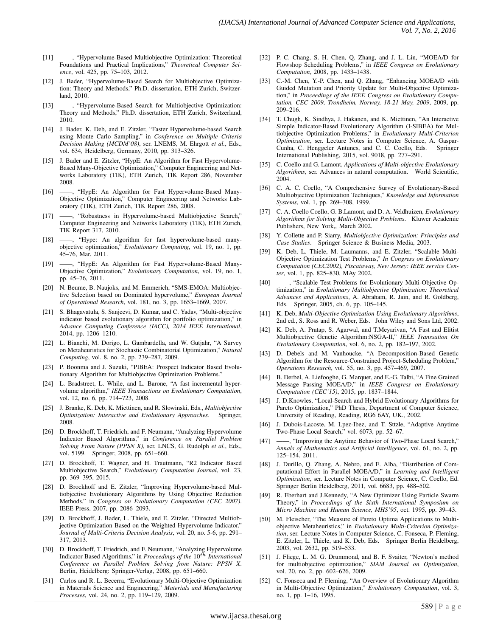- [11] -, "Hypervolume-Based Multiobjective Optimization: Theoretical Foundations and Practical Implications," *Theoretical Computer Science*, vol. 425, pp. 75–103, 2012.
- [12] J. Bader, "Hypervolume-Based Search for Multiobjective Optimization: Theory and Methods," Ph.D. dissertation, ETH Zurich, Switzerland, 2010.
- [13] ——, "Hypervolume-Based Search for Multiobjective Optimization: Theory and Methods," Ph.D. dissertation, ETH Zurich, Switzerland, 2010.
- [14] J. Bader, K. Deb, and E. Zitzler, "Faster Hypervolume-based Search using Monte Carlo Sampling," in *Conference on Multiple Criteria Decision Making (MCDM'08)*, ser. LNEMS, M. Ehrgott *et al.*, Eds., vol. 634, Heidelberg, Germany, 2010, pp. 313–326.
- [15] J. Bader and E. Zitzler, "HypE: An Algorithm for Fast Hypervolume-Based Many-Objective Optimization," Computer Engineering and Networks Laboratory (TIK), ETH Zurich, TIK Report 286, November 2008.
- [16] ——, "HypE: An Algorithm for Fast Hypervolume-Based Many-Objective Optimization," Computer Engineering and Networks Laboratory (TIK), ETH Zurich, TIK Report 286, 2008.
- [17] -, "Robustness in Hypervolume-based Multiobjective Search," Computer Engineering and Networks Laboratory (TIK), ETH Zurich, TIK Report 317, 2010.
- [18] -, "Hype: An algorithm for fast hypervolume-based manyobjective optimization," *Evolutionary Computing*, vol. 19, no. 1, pp. 45–76, Mar. 2011.
- [19] ——, "HypE: An Algorithm for Fast Hypervolume-Based Many-Objective Optimization," *Evolutionary Computation*, vol. 19, no. 1, pp. 45–76, 2011.
- [20] N. Beume, B. Naujoks, and M. Emmerich, "SMS-EMOA: Multiobjective Selection based on Dominated hypervolume," *European Journal of Operational Research*, vol. 181, no. 3, pp. 1653–1669, 2007.
- [21] S. Bhagavatula, S. Sanjeevi, D. Kumar, and C. Yadav, "Multi-objective indicator based evolutionary algorithm for portfolio optimization," in *Advance Computing Conference (IACC), 2014 IEEE International*, 2014, pp. 1206–1210.
- [22] L. Bianchi, M. Dorigo, L. Gambardella, and W. Gutjahr, "A Survey on Metaheuristics for Stochastic Combinatorial Optimization," *Natural Computing*, vol. 8, no. 2, pp. 239–287, 2009.
- [23] P. Boonma and J. Suzuki, "PIBEA: Prospect Indicator Based Evolutionary Algorithm for Multiobjective Optimization Problems.'
- [24] L. Bradstreet, L. While, and L. Barone, "A fast incremental hypervolume algorithm," *IEEE Transactions on Evolutionary Computation*, vol. 12, no. 6, pp. 714–723, 2008.
- [25] J. Branke, K. Deb, K. Miettinen, and R. Slowinski, Eds., *Multiobjective Optimization: Interactive and Evolutionary Approaches*. Springer, 2008.
- [26] D. Brockhoff, T. Friedrich, and F. Neumann, "Analyzing Hypervolume Indicator Based Algorithms," in *Conference on Parallel Problem Solving From Nature (PPSN X)*, ser. LNCS, G. Rudolph *et al.*, Eds., vol. 5199. Springer, 2008, pp. 651–660.
- [27] D. Brockhoff, T. Wagner, and H. Trautmann, "R2 Indicator Based Multiobjective Search," *Evolutionary Computation Journal*, vol. 23, pp. 369–395, 2015.
- [28] D. Brockhoff and E. Zitzler, "Improving Hypervolume-based Multiobjective Evolutionary Algorithms by Using Objective Reduction Methods," in *Congress on Evolutionary Computation (CEC 2007)*. IEEE Press, 2007, pp. 2086–2093.
- [29] D. Brockhoff, J. Bader, L. Thiele, and E. Zitzler, "Directed Multiobjective Optimization Based on the Weighted Hypervolume Indicator," *Journal of Multi-Criteria Decision Analysis*, vol. 20, no. 5-6, pp. 291– 317, 2013.
- [30] D. Brockhoff, T. Friedrich, and F. Neumann, "Analyzing Hypervolume Indicator Based Algorithms," in *Proceedings of the* 10*th International Conference on Parallel Problem Solving from Nature: PPSN X*. Berlin, Heidelberg: Springer-Verlag, 2008, pp. 651–660.
- [31] Carlos and R. L. Becerra, "Evolutionary Multi-Objective Optimization in Materials Science and Engineering," *Materials and Manufacturing Processes*, vol. 24, no. 2, pp. 119–129, 2009.
- [32] P. C. Chang, S. H. Chen, Q. Zhang, and J. L. Lin, "MOEA/D for Flowshop Scheduling Problems," in *IEEE Congress on Evolutionary Computation*, 2008, pp. 1433–1438.
- [33] C.-M. Chen, Y.-P. Chen, and Q. Zhang, "Enhancing MOEA/D with Guided Mutation and Priority Update for Multi-Objective Optimization," in *Proceedings of the IEEE Congress on Evolutionary Computation, CEC 2009, Trondheim, Norway, 18-21 May, 2009*, 2009, pp. 209–216.
- [34] T. Chugh, K. Sindhya, J. Hakanen, and K. Miettinen, "An Interactive Simple Indicator-Based Evolutionary Algorithm (I-SIBEA) for Multiobjective Optimization Problems," in *Evolutionary Multi-Criterion Optimization*, ser. Lecture Notes in Computer Science, A. Gaspar-Cunha, C. Henggeler Antunes, and C. C. Coello, Eds. Springer International Publishing, 2015, vol. 9018, pp. 277–291.
- [35] C. Coello and G. Lamont, *Applications of Multi-objective Evolutionary Algorithms*, ser. Advances in natural computation. World Scientific, 2004.
- [36] C. A. C. Coello, "A Comprehensive Survey of Evolutionary-Based Multiobjective Optimization Techniques," *Knowledge and Information Systems*, vol. 1, pp. 269–308, 1999.
- [37] C. A. Coello Coello, G. B.Lamont, and D. A. Veldhuizen, *Evolutionary Algorithms for Solving Multi-Objective Problems*. Kluwer Academic Publishers, New York,, March 2002.
- [38] Y. Collette and P. Siarry, *Multiobjective Optimization: Principles and Case Studies*. Springer Science & Business Media, 2003.
- [39] K. Deb, L. Thiele, M. Laumanns, and E. Zitzler, "Scalable Multi-Objective Optimization Test Problems," *In Congress on Evolutionary Computation (CEC2002), Piscataway, New Jersey: IEEE service Center*, vol. 1, pp. 825–830, MAy 2002.
- [40] ——, "Scalable Test Problems for Evolutionary Multi-Objective Optimization," in *Evolutionary Multiobjective Optimization: Theoretical Advances and Applications*, A. Abraham, R. Jain, and R. Goldberg, Eds. Springer, 2005, ch. 6, pp. 105–145.
- [41] K. Deb, *Multi-Objective Optimization Using Evolutionary Algorithms*, 2nd ed., S. Ross and R. Weber, Eds. John Wiley and Sons Ltd, 2002.
- [42] K. Deb, A. Pratap, S. Agarwal, and T.Meyarivan, "A Fast and Elitist Multiobjective Genetic Algorithm:NSGA-II," *IEEE Transsation On Evolutionary Computation*, vol. 6, no. 2, pp. 182–197, 2002.
- [43] D. Debels and M. Vanhoucke, "A Decomposition-Based Genetic Algorithm for the Resource-Constrained Project-Scheduling Problem," *Operations Research*, vol. 55, no. 3, pp. 457–469, 2007.
- [44] B. Derbel, A. Liefooghe, G. Marquet, and E.-G. Talbi, "A Fine Grained Message Passing MOEA/D," in *IEEE Congress on Evolutionary Computation (CEC'15)*, 2015, pp. 1837–1844.
- [45] J. D.Knowles, "Local-Search and Hybrid Evolutionary Algorithms for Pareto Optimization," PhD Thesis, Department of Computer Science, University of Reading, Reading, RG6 6AY, UK., 2002.
- [46] J. Dubois-Lacoste, M. Lpez-Ibez, and T. Sttzle, "Adaptive Anytime Two-Phase Local Search," vol. 6073, pp. 52–67.
- [47] ——, "Improving the Anytime Behavior of Two-Phase Local Search," *Annals of Mathematics and Artificial Intelligence*, vol. 61, no. 2, pp. 125–154, 2011.
- [48] J. Durillo, Q. Zhang, A. Nebro, and E. Alba, "Distribution of Computational Effort in Parallel MOEA/D," in *Learning and Intelligent Optimization*, ser. Lecture Notes in Computer Science, C. Coello, Ed. Springer Berlin Heidelberg, 2011, vol. 6683, pp. 488–502.
- [49] R. Eberhart and J.Kennedy, "A New Optimizer Using Particle Swarm Theory," in *Proceedings of the Sixth International Symposium on Micro Machine and Human Science, MHS'95*, oct. 1995, pp. 39–43.
- [50] M. Fleischer, "The Measure of Pareto Optima Applications to Multiobjective Metaheuristics," in *Evolutionary Multi-Criterion Optimization*, ser. Lecture Notes in Computer Science, C. Fonseca, P. Fleming, E. Zitzler, L. Thiele, and K. Deb, Eds. Springer Berlin Heidelberg, 2003, vol. 2632, pp. 519–533.
- [51] J. Fliege, L. M. G. Drummond, and B. F. Svaiter, "Newton's method for multiobjective optimization," *SIAM Journal on Optimization*, vol. 20, no. 2, pp. 602–626, 2009.
- [52] C. Fonseca and P. Fleming, "An Overview of Evolutionary Algorithm in Multi-Objective Optimization," *Evolutionary Computation*, vol. 3, no. 1, pp. 1–16, 1995.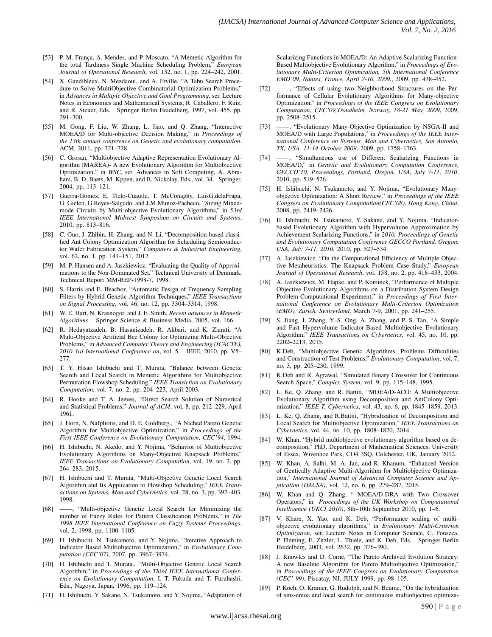- [53] P. M. França, A. Mendes, and P. Moscato, "A Memetic Algorithm for the total Tardiness Single Machine Scheduling Problem," *European Journal of Operational Research*, vol. 132, no. 1, pp. 224–242, 2001.
- [54] X. Gandibleux, N. Mezdaoui, and A. Frville, "A Tabu Search Procedure to Solve MultiObjective Combinatorial Optimization Problems,' in *Advances in Multiple Objective and Goal Programming*, ser. Lecture Notes in Economics and Mathematical Systems, R. Caballero, F. Ruiz, and R. Steuer, Eds. Springer Berlin Heidelberg, 1997, vol. 455, pp. 291–300.
- [55] M. Gong, F. Liu, W. Zhang, L. Jiao, and Q. Zhang, "Interactive MOEA/D for Multi-objective Decision Making," in *Proceedings of the 13th annual conference on Genetic and evolutionary computation*. ACM, 2011, pp. 721–728.
- [56] C. Grosan, "Multiobjective Adaptive Representation Evolutionary Algorithm (MAREA)- A new Evolutionary Algorithm for Multiobjective Optimization." in *WSC*, ser. Advances in Soft Computing, A. Abraham, B. D. Baets, M. Kppen, and B. Nickolay, Eds., vol. 34. Springer, 2004, pp. 113–121.
- [57] Guerra-Gomez, E. Tlelo-Cuautle, T. McConaghy, LuisG.delaFraga, G. Gielen, G.Reyes-Salgado, and J.M.Munoz-Pacheco, "Sizing Mixedmode Circuits by Multi-objective Evolutionary Algorithms," in *53rd IEEE International Midwest Symposium on Circuits and Systems*, 2010, pp. 813–816.
- [58] C. Guo, J. Zhibin, H. Zhang, and N. Li, "Decomposition-based classified Ant Colony Optimization Algorithm for Scheduling Semiconductor Wafer Fabrication System," *Computers & Industrial Engineering*, vol. 62, no. 1, pp. 141–151, 2012.
- [59] M. P. Hansen and A. Jaszkiewicz, "Evaluating the Quality of Approximations to the Non-Dominated Set," Technical University of Denmark, Technical Report MM-REP-1998-7, 1998.
- [60] S. Harris and E. Ifeachor, "Automatic Fesign of Frequency Sampling Filters by Hybrid Genetic Algorithm Techniques," *IEEE Transactions on Signal Processing*, vol. 46, no. 12, pp. 3304–3314, 1998.
- [61] W. E. Hart, N. Krasnogor, and J. E. Smith, *Recent advances in Memetic Algorithms*. Springer Science & Business Media, 2005, vol. 166.
- [62] R. Hedayatzadeh, B. Hasanizadeh, R. Akbari, and K. Ziarati, "A Multi-Objective Artificial Bee Colony for Optimizing Multi-Objective Problems," in *Advanced Computer Theory and Engineering (ICACTE), 2010 3rd International Conference on*, vol. 5. IEEE, 2010, pp. V5– 277.
- [63] T. Y. Hisao Ishibuchi and T. Murata, "Balance between Genetic Search and Local Search in Memetic Algorithms for Multiobjective Permutation Flowshop Scheduling," *IEEE Transiction on Evolutionary Computation*, vol. 7, no. 2, pp. 204–223, April 2003.
- [64] R. Hooke and T. A. Jeeves, "Direct Search Solution of Numerical and Statistical Problems," *Journal of ACM*, vol. 8, pp. 212–229, April 1961.
- [65] J. Horn, N. Nafpliotis, and D. E. Goldberg., "A Niched Pareto Genetic Algorithm for Multiobjective Optimization," in *Proceedings of the First IEEE Conference on Evolutionary Computation, CEC'94*, 1994.
- [66] H. Ishibuchi, N. Akedo, and Y. Nojima, "Behavior of Multiobjective Evolutionary Algorithms on Many-Objective Knapsack Problems,' *IEEE Transactions on Evolutionary Computation*, vol. 19, no. 2, pp. 264–283, 2015.
- [67] H. Ishibuchi and T. Murata, "Multi-Objective Genetic Local Search Algorithm and Its Application to Flowshop Scheduling," *IEEE Transactions on Systems, Man and Cybernetics*, vol. 28, no. 3, pp. 392–403, 1998.
- [68] ——, "Multi-objective Genetic Local Search for Minimizing the number of Fuzzy Rules for Pattern Classification Problems," in *The 1998 IEEE International Conference on Fuzzy Systems Proceedings*, vol. 2, 1998, pp. 1100–1105.
- [69] H. Ishibuchi, N. Tsukamoto, and Y. Nojima, "Iterative Approach to Indicator Based Multiobjective Optimization," in *Evolutionary Computation (CEC'07)*, 2007, pp. 3967–3974.
- [70] H. Ishibuchi and T. Murata., "Multi-Objective Genetic Local Search Algorithm." in *Proceedings of the Third IEEE International Conference on Evolutionary Computation*, I. T. Fukuda and T. Furuhashi, Eds., Nagoya, Japan, 1996, pp. 119–124.
- [71] H. Ishibuchi, Y. Sakane, N. Tsukamoto, and Y. Nojima, "Adaptation of

Scalarizing Functions in MOEA/D: An Adaptive Scalarizing Function-Based Multiobjective Evolutionary Algorithm," in *Proceedings of Evolutionary Multi-Criterion Optimization, 5th International Conference EMO'09, Nantes, France, April 7-10, 2009.*, 2009, pp. 438–452.

- [72] ——, "Effects of using two Neighborhood Structures on the Performance of Cellular Evolutionary Algorithms for Many-objective Optimization," in *Proceedings of the IEEE Congress on Evolutionary Computation, CEC'09,Trondheim, Norway, 18-21 May, 2009*, 2009, pp. 2508–2515.
- [73] ——, "Evolutionary Many-Objective Optimization by NSGA-II and MOEA/D with Large Populations," in *Proceedings of the IEEE International Conference on Systems, Man and Cybernetics, San Antonio, TX, USA, 11-14 October 2009*, 2009, pp. 1758–1763.
- [74] ——, "Simultaneous use of Different Scalarizing Functions in MOEA/D," in *Genetic and Evolutionary Computation Conference, GECCO'10, Proceedings, Portland, Oregon, USA, July 7-11, 2010*, 2010, pp. 519–526.
- [75] H. Ishibuchi, N. Tsukamoto, and Y. Nojima, "Evolutionary Manyobjective Optimization: A Short Review," in *Proceedings of the IEEE Congress on Evolutionary Computation(CEC'08), Hong Kong, China*, 2008, pp. 2419–2426.
- [76] H. Ishibuchi, N. Tsukamoto, Y. Sakane, and Y. Nojima, "Indicatorbased Evolutionary Algorithm with Hypervolume Approximation by Achievement Scalarizing Functions," in *2010, Proceedings of Genetic and Evolutionary Computation Conference GECCO Portland, Oregon, USA, July 7-11, 2010*, 2010, pp. 527–534.
- [77] A. Jaszkiewicz, "On the Computational Efficiency of Multiple Objective Metaheuristics. The Knapsack Problem Case Study," *European Journal of Operational Research*, vol. 158, no. 2, pp. 418–433, 2004.
- [78] A. Jaszkiewicz, M. Hapke, and P. Kominek, "Performance of Multiple Objective Evolutionary Algorithms on a Distribution System Design Problem-Computational Experiment," in *Proceedings of First International Conference on Evolutionary Multi-Criterion Optimization (EMO), Zurich, Switzerland*, March 7-9, 2001, pp. 241–255.
- [79] S. Jiang, J. Zhang, Y.-S. Ong, A. Zhang, and P. S. Tan, "A Simple and Fast Hypervolume Indicator-Based Multiobjective Evolutionary Algorithm," *IEEE Transactions on Cybernetics*, vol. 45, no. 10, pp. 2202–2213, 2015.
- [80] K.Deb, "Multiobjective Genetic Algorithms: Problems Difficulities and Construction of Test Problems," *Evolutionary Computation*, vol. 7, no. 3, pp. 205–230, 1999.
- [81] K.Deb and R. Agrawal, "Simulated Binary Crossover for Continuous Search Space," *Complex System*, vol. 9, pp. 115–148, 1995.
- [82] L. Ke, Q. Zhang, and R. Battiti, "MOEA/D-ACO: A Multiobjective Evolutionary Algorithm using Decomposition and AntColony Optimization," *IEEE T. Cybernetics*, vol. 43, no. 6, pp. 1845–1859, 2013.
- [83] L. Ke, Q. Zhang, and R.Battiti, "Hybridization of Decomposition and Local Search for Multiobjective Optimization," *IEEE Transactions on Cybernetics*, vol. 44, no. 10, pp. 1808–1820, 2014.
- [84] W. Khan, "Hybrid multiobjective evolutionary algorithm based on decomposition," PhD, Department of Mathematical Sciences, University of Essex, Wivenhoe Park, CO4 3SQ, Colchester, UK, January 2012.
- [85] W. Khan, A. Salhi, M. A. Jan, and R. Khanum, "Enhanced Version of Gentically Adaptive Multi-Algorithm for Multiobjective Optimization," *International Journal of Advanced Computer Science and Application (IJACSA)*, vol. 12, no. 6, pp. 279–287, 2015.
- [86] W. Khan and Q. Zhang, " MOEA/D-DRA with Two Crossover Operators," in *Proceedings of the UK Workshop on Computational Intelligence (UKCI 2010)*, 8th–10th September 2010, pp. 1–6.
- [87] V. Khare, X. Yao, and K. Deb, "Performance scaling of multiobjective evolutionary algorithms," in *Evolutionary Multi-Criterion Optimization*, ser. Lecture Notes in Computer Science, C. Fonseca, P. Fleming, E. Zitzler, L. Thiele, and K. Deb, Eds. Springer Berlin Heidelberg, 2003, vol. 2632, pp. 376–390.
- [88] J. Knowles and D. Corne, "The Pareto Archived Evolution Strategy: A new Baseline Algorithm for Pareto Multiobjective Optimization,' in *Proceedings of the IEEE Congress on Evolutionary Computation (CEC' 99)*, Piscatay, NJ, JULY 1999, pp. 98–105.
- [89] P. Koch, O. Kramer, G. Rudolph, and N. Beume, "On the hybridization of sms-emoa and local search for continuous multiobjective optimiza-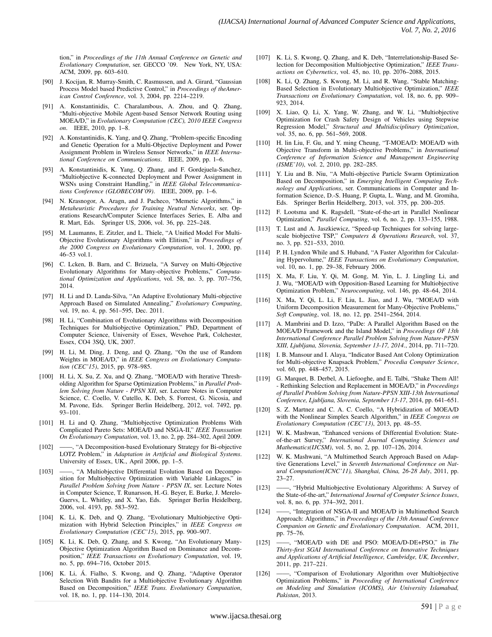tion," in *Proceedings of the 11th Annual Conference on Genetic and Evolutionary Computation*, ser. GECCO '09. New York, NY, USA: ACM, 2009, pp. 603–610.

- [90] J. Kocijan, R. Murray-Smith, C. Rasmussen, and A. Girard, "Gaussian Process Model based Predictive Control," in *Proceedings of theAmerican Control Conference*, vol. 3, 2004, pp. 2214–2219.
- [91] A. Konstantinidis, C. Charalambous, A. Zhou, and Q. Zhang, "Multi-objective Mobile Agent-based Sensor Network Routing using MOEA/D," in *Evolutionary Computation (CEC), 2010 IEEE Congress on*. IEEE, 2010, pp. 1–8.
- [92] A. Konstantinidis, K. Yang, and Q. Zhang, "Problem-specific Encoding and Genetic Operation for a Multi-Objective Deployment and Power Assignment Problem in Wireless Sensor Networks," in *IEEE International Conference on Communications*. IEEE, 2009, pp. 1–6.
- [93] A. Konstantinidis, K. Yang, Q. Zhang, and F. Gordejuela-Sanchez, "Multiobjective K-connected Deployment and Power Assignment in WSNs using Constraint Handling," in *IEEE Global Telecommunications Conference (GLOBECOM'09)*. IEEE, 2009, pp. 1–6.
- [94] N. Krasnogor, A. Aragn, and J. Pacheco, "Memetic Algorithms," in *Metaheuristic Procedures for Training Neutral Networks*, ser. Operations Research/Computer Science Interfaces Series, E. Alba and R. Mart, Eds. Springer US, 2006, vol. 36, pp. 225–248.
- [95] M. Laumanns, E. Zitzler, and L. Thiele, "A Unified Model For Multi-Objective Evolutionary Algorithms with Elitism," in *Proceedings of the 2000 Congress on Evolutionary Computation*, vol. 1, 2000, pp. 46–53 vol.1.
- [96] C. Lcken, B. Barn, and C. Brizuela, "A Survey on Multi-Objective Evolutionary Algorithms for Many-objective Problems," *Computational Optimization and Applications*, vol. 58, no. 3, pp. 707–756, 2014.
- [97] H. Li and D. Landa-Silva, "An Adaptive Evolutionary Multi-objective Approach Based on Simulated Annealing," *Evolutionary Computing*, vol. 19, no. 4, pp. 561–595, Dec. 2011.
- [98] H. Li, "Combination of Evolutionary Algorithms with Decomposition Techniques for Multiobjective Optimization," PhD, Department of Computer Science, University of Essex, Wevehoe Park, Colchester, Essex, CO4 3SQ, UK, 2007.
- [99] H. Li, M. Ding, J. Deng, and Q. Zhang, "On the use of Random Weights in MOEA/D," in *IEEE Congress on Evolutionary Computation (CEC'15)*, 2015, pp. 978–985.
- [100] H. Li, X. Su, Z. Xu, and Q. Zhang, "MOEA/D with Iterative Thresholding Algorithm for Sparse Optimization Problems," in *Parallel Problem Solving from Nature - PPSN XII*, ser. Lecture Notes in Computer Science, C. Coello, V. Cutello, K. Deb, S. Forrest, G. Nicosia, and M. Pavone, Eds. Springer Berlin Heidelberg, 2012, vol. 7492, pp. 93–101.
- [101] H. Li and Q. Zhang, "Multiobjective Optimization Problems With Complicated Pareto Sets: MOEA/D and NSGA-II," *IEEE Transsation On Evolutionary Computation*, vol. 13, no. 2, pp. 284–302, April 2009.
- [102] -- , "A Decomposition-based Evolutionary Strategy for Bi-objective LOTZ Problem," in *Adaptation in Artificial and Biological Systems*. University of Essex, UK., April 2006, pp. 1–5.
- [103] ——, "A Multiobjective Differential Evolution Based on Decomposition for Multiobjective Optimization with Variable Linkages," in *Parallel Problem Solving from Nature - PPSN IX*, ser. Lecture Notes in Computer Science, T. Runarsson, H.-G. Beyer, E. Burke, J. Merelo-Guervs, L. Whitley, and X. Yao, Eds. Springer Berlin Heidelberg, 2006, vol. 4193, pp. 583–592.
- [104] K. Li, K. Deb, and Q. Zhang, "Evolutionary Multiobjective Optimization with Hybrid Selection Principles," in *IEEE Congress on Evolutionary Computation (CEC'15)*, 2015, pp. 900–907.
- [105] K. Li, K. Deb, Q. Zhang, and S. Kwong, "An Evolutionary Many-Objective Optimization Algorithm Based on Dominance and Decomposition," *IEEE Transactions on Evolutionary Computation*, vol. 19, no. 5, pp. 694–716, October 2015.
- [106] K. Li, Á. Fialho, S. Kwong, and Q. Zhang, "Adaptive Operator Selection With Bandits for a Multiobjective Evolutionary Algorithm Based on Decomposition," *IEEE Trans. Evolutionary Computation*, vol. 18, no. 1, pp. 114–130, 2014.
- [107] K. Li, S. Kwong, Q. Zhang, and K. Deb, "Interrelationship-Based Selection for Decomposition Multiobjective Optimization," *IEEE Transactions on Cybernetics*, vol. 45, no. 10, pp. 2076–2088, 2015.
- [108] K. Li, Q. Zhang, S. Kwong, M. Li, and R. Wang, "Stable Matching-Based Selection in Evolutionary Multiobjective Optimization," *IEEE Transactions on Evolutionary Computation*, vol. 18, no. 6, pp. 909– 923, 2014.
- [109] X. Liao, Q. Li, X. Yang, W. Zhang, and W. Li, "Multiobjective Optimization for Crash Safety Design of Vehicles using Stepwise Regression Model," *Structural and Multidisciplinary Optimization*, vol. 35, no. 6, pp. 561–569, 2008.
- [110] H. lin Liu, F. Gu, and Y. ming Cheung, "T-MOEA/D: MOEA/D with Objective Transform in Multi-objective Problems," in *International Conference of Information Science and Management Engineering (ISME'10)*, vol. 2, 2010, pp. 282–285.
- [111] Y. Liu and B. Niu, "A Multi-objective Particle Swarm Optimization Based on Decomposition," in *Emerging Intelligent Computing Technology and Applications*, ser. Communications in Computer and Information Science, D.-S. Huang, P. Gupta, L. Wang, and M. Gromiha, Eds. Springer Berlin Heidelberg, 2013, vol. 375, pp. 200–205.
- [112] F. Lootsma and K. Ragsdell, "State-of-the-art in Parallel Nonlinear Optimization," *Parallel Computing*, vol. 6, no. 2, pp. 133–155, 1988.
- [113] T. Lust and A. Jaszkiewicz, "Speed-up Techniques for solving largescale biobjective TSP," *Computers & Operations Research*, vol. 37, no. 3, pp. 521–533, 2010.
- [114] P. H. Lyndon While and S. Huband, "A Faster Algorithm for Calculating Hypervolume," *IEEE Transactions on Evolutionary Computation*, vol. 10, no. 1, pp. 29–38, February 2006.
- [115] X. Ma, F. Liu, Y. Qi, M. Gong, M. Yin, L. J. Lingling Li, and J. Wu, "MOEA/D with Opposition-Based Learning for Multiobjective Optimization Problem," *Neurocomputing*, vol. 146, pp. 48–64, 2014.
- [116] X. Ma, Y. Qi, L. Li, F. Liu, L. Jiao, and J. Wu, "MOEA/D with Uniform Decomposition Measurement for Many-Objective Problems," *Soft Computing*, vol. 18, no. 12, pp. 2541–2564, 2014.
- [117] A. Mambrini and D. Izzo, "PaDe: A Parallel Algorithm Based on the MOEA/D Framework and the Island Model," in *Proceedings OF 13th International Conference Parallel Problem Solving from Nature-PPSN XIII, Ljubljana, Slovenia, September 13-17, 2014.*, 2014, pp. 711–720.
- [118] I. B. Mansour and I. Alaya, "Indicator Based Ant Colony Optimization for Multi-objective Knapsack Problem," *Procedia Computer Science*, vol. 60, pp. 448–457, 2015.
- [119] G. Marquet, B. Derbel, A. Liefooghe, and E. Talbi, "Shake Them All! - Rethinking Selection and Replacement in MOEA/D," in *Proceedings of Parallel Problem Solving from Nature-PPSN XIII-13th International Conference, Ljubljana, Slovenia, September 13-17*, 2014, pp. 641–651.
- [120] S. Z. Martnez and C. A. C. Coello, "A Hybridization of MOEA/D with the Nonlinear Simplex Search Algorithm," in *IEEE Congress on Evolutionary Computation (CEC'13)*, 2013, pp. 48–55.
- [121] W. K. Mashwan, "Enhanced versions of Differential Evolution: Stateof-the-art Survey," *International Journal Computing Sciences and Mathematics(IJCSM)*, vol. 5, no. 2, pp. 107–126, 2014.
- [122] W. K. Mashwani, "A Multimethod Search Approach Based on Adaptive Generations Level," in *Seventh International Conference on Natural Computation(ICNC'11), Shanghai, China, 26-28 July*, 2011, pp. 23–27.
- [123] ——, "Hybrid Multiobjective Evolutionary Algorithms: A Survey of the State-of-the-art," *International Journal of Computer Science Issues*, vol. 8, no. 6, pp. 374–392, 2011.
- [124] ——, "Integration of NSGA-II and MOEA/D in Multimethod Search Approach: Algorithms," in *Proceedings of the 13th Annual Conference Companion on Genetic and Evolutionary Computation*. ACM, 2011, pp. 75–76.
- [125] ——, "MOEA/D with DE and PSO: MOEA/D-DE+PSO," in *The Thirty-first SGAI International Conference on Innovative Techniques and Applications of Artificial Intelligence, Cambridge, UK, December*, 2011, pp. 217–221.
- [126] ——, "Comparison of Evolutionary Algorithm over Multiobjective Optimization Problems," in *Proceeding of International Conference on Modeling and Simulation (ICOMS), Air University Islamabad, Pakistan*, 2013.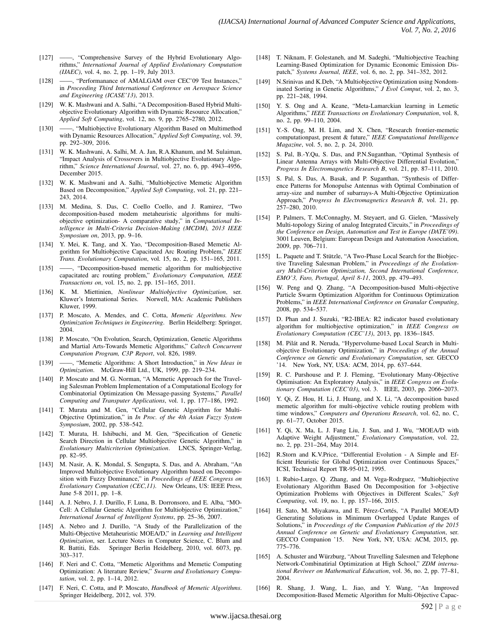- [127] ——, "Comprehensive Survey of the Hybrid Evolutionary Algorithms," *International Journal of Applied Evolutionary Computation (IJAEC)*, vol. 4, no. 2, pp. 1–19, July 2013.
- [128] ——, "Performanance of AMALGAM over CEC'09 Test Instances," in *Proceeding Third International Conference on Aerospace Science and Engineering (ICASE'13)*, 2013.
- [129] W. K. Mashwani and A. Salhi, "A Decomposition-Based Hybrid Multiobjective Evolutionary Algorithm with Dynamic Resource Allocation," *Applied Soft Computing*, vol. 12, no. 9, pp. 2765–2780, 2012.
- [130] ——, "Multiobjective Evolutionary Algorithm Based on Multimethod with Dynamic Resources Allocation," *Applied Soft Computing*, vol. 39, pp. 292–309, 2016.
- [131] W. K. Mashwani, A. Salhi, M. A. Jan, R.A.Khanum, and M. Sulaiman, "Impact Analysis of Crossovers in Multiobjective Evolutionary Algorithm," *Science International Journal*, vol. 27, no. 6, pp. 4943–4956, December 2015.
- [132] W. K. Mashwani and A. Salhi, "Multiobjective Memetic Algorithm Based on Decomposition," *Applied Soft Computing*, vol. 21, pp. 221– 243, 2014.
- [133] M. Medina, S. Das, C. Coello Coello, and J. Ramirez, "Two decomposition-based modem metaheuristic algorithms for multiobjective optimization- A comparative study," in *Computational Intelligence in Multi-Criteria Decision-Making (MCDM), 2013 IEEE Symposium on*, 2013, pp. 9–16.
- [134] Y. Mei, K. Tang, and X. Yao, "Decomposition-Based Memetic Algorithm for Multiobjective Capacitated Arc Routing Problem," *IEEE Trans. Evolutionary Computation*, vol. 15, no. 2, pp. 151–165, 2011.
- [135] ——, "Decomposition-based memetic algorithm for multiobjective capacitated arc routing problem," *Evolutionary Computation, IEEE Transactions on*, vol. 15, no. 2, pp. 151–165, 2011.
- [136] K. M. Miettinien, *Nonlinear Multiobjective Optimization*, ser. Kluwer's International Series. Norwell, MA: Academic Publishers Kluwer, 1999.
- [137] P. Moscato, A. Mendes, and C. Cotta, *Memetic Algorithms. New Optimization Techniques in Engineering*. Berlin Heidelberg: Springer, 2004.
- [138] P. Moscato, "On Evolution, Search, Optimization, Genetic Algorithms and Martial Arts-Towards Memetic Algorithms," *Caltech Concurrent Computation Program, C3P Report*, vol. 826, 1989.
- [139] ——, "Memetic Algorithms: A Short Introduction," in *New Ideas in Optimization*. McGraw-Hill Ltd., UK, 1999, pp. 219–234.
- [140] P. Moscato and M. G. Norman, "A Memetic Approach for the Traveling Salesman Problem Implementation of a Computational Ecology for Combinatorial Optimization On Message-passing Systems," *Parallel Computing and Transputer Applications*, vol. 1, pp. 177–186, 1992.
- [141] T. Murata and M. Gen, "Cellular Genetic Algorithm for Multi-Objective Optimization," in *In Proc. of the 4th Asian Fuzzy System Symposium*, 2002, pp. 538–542.
- [142] T. Murata, H. Ishibuchi, and M. Gen, "Specification of Genetic Search Direction in Cellular Multiobjective Genetic Algorithm," in *Evolutionary Multicriterion Optimization*. LNCS, Springer-Verlag, pp. 82–95.
- [143] M. Nasir, A. K. Mondal, S. Sengupta, S. Das, and A. Abraham, "An Improved Multiobjective Evolutionary Algorithm based on Decomposition with Fuzzy Dominance," in *Proceedings of IEEE Congress on Evolutionary Computation (CEC,11)*. New Orleans, US: IEEE Press, June 5-8 2011, pp. 1–8.
- [144] A. J. Nebro, J. J. Durillo, F. Luna, B. Dorronsoro, and E. Alba, "MO-Cell: A Cellular Genetic Algorithm for Multiobjective Optimization," *International Journal of Intelligent Systems*, pp. 25–36, 2007.
- [145] A. Nebro and J. Durillo, "A Study of the Parallelization of the Multi-Objective Metaheuristic MOEA/D," in *Learning and Intelligent Optimization*, ser. Lecture Notes in Computer Science, C. Blum and R. Battiti, Eds. Springer Berlin Heidelberg, 2010, vol. 6073, pp. 303–317.
- [146] F. Neri and C. Cotta, "Memetic Algorithms and Memetic Computing Optimization: A literature Review," *Swarm and Evolutionary Computation*, vol. 2, pp. 1–14, 2012.
- [147] F. Neri, C. Cotta, and P. Moscato, *Handbook of Memetic Algorithms*. Springer Heidelberg, 2012, vol. 379.
- [148] T. Niknam, F. Golestaneh, and M. Sadeghi, "Multiobjective Teaching Learning-Based Optimization for Dynamic Economic Emission Dispatch," *Systems Journal, IEEE*, vol. 6, no. 2, pp. 341–352, 2012.
- [149] N.Srinivas and K.Deb, "A Multiobjective Optimization using Nondominated Sorting in Genetic Algorithms," *J Evol Comput*, vol. 2, no. 3, pp. 221–248, 1994.
- [150] Y. S. Ong and A. Keane, "Meta-Lamarckian learning in Lemetic Algorithms," *IEEE Transactions on Evolutionary Computation*, vol. 8, no. 2, pp. 99–110, 2004.
- [151] Y.-S. Ong, M. H. Lim, and X. Chen, "Research frontier-memetic computationpast, present & future," *IEEE Computational Intelligence Magazine*, vol. 5, no. 2, p. 24, 2010.
- [152] S. Pal, B.-Y.Qu, S. Das, and P.N.Suganthan, "Optimal Synthesis of Linear Antenna Arrays with Multi-Objective Differential Evolution," *Progress In Electromagnetics Research B*, vol. 21, pp. 87–111, 2010.
- [153] S. Pal, S. Das, A. Basak, and P. Suganthan, "Synthesis of Difference Patterns for Monopulse Antennas with Optimal Combination of array-size and number of subarrays-A Multi-Objective Optimization Approach," *Progress In Electromagnetics Research B*, vol. 21, pp. 257–280, 2010.
- [154] P. Palmers, T. McConnaghy, M. Steyaert, and G. Gielen, "Massively Multi-topology Sizing of analog Integrated Circuits," in *Proceedings of the Conference on Design, Automation and Test in Europe (DATE'09)*. 3001 Leuven, Belgium: European Design and Automation Association, 2009, pp. 706–711.
- [155] L. Paquete and T. Stützle, "A Two-Phase Local Search for the Biobjective Traveling Salesman Problem," in *Proceedings of the Evolutionary Multi-Criterion Optimization, Second International Conference, EMO'3, Faro, Portugal, April 8-11*, 2003, pp. 479–493.
- [156] W. Peng and Q. Zhang, "A Decomposition-based Multi-objective Particle Swarm Optimization Algorithm for Continuous Optimization Problems," in *IEEE International Conference on Granular Computing*, 2008, pp. 534–537.
- [157] D. Phan and J. Suzuki, "R2-IBEA: R2 indicator based evolutionary algorithm for multiobjective optimization," in *IEEE Congress on Evolutionary Computation (CEC'13)*, 2013, pp. 1836–1845.
- [158] M. Pilát and R. Neruda, "Hypervolume-based Local Search in Multiobjective Evolutionary Optimization," in *Proceedings of the Annual Conference on Genetic and Evolutionary Computation*, ser. GECCO '14. New York, NY, USA: ACM, 2014, pp. 637–644.
- [159] R. C. Purshouse and P. J. Fleming, "Evolutionary Many-Objective Optimisation: An Exploratory Analysis," in *IEEE Congress on Evolutionary Computation (CEC'03)*, vol. 3. IEEE, 2003, pp. 2066–2073.
- [160] Y. Qi, Z. Hou, H. Li, J. Huang, and X. Li, "A decomposition based memetic algorithm for multi-objective vehicle routing problem with time windows," *Computers and Operations Research*, vol. 62, no. C, pp. 61–77, October 2015.
- [161] Y. Qi, X. Ma, L. J. Fang Liu, J. Sun, and J. Wu, "MOEA/D with Adaptive Weight Adjustment," *Evolutionary Computation*, vol. 22, no. 2, pp. 231–264, May 2014.
- [162] R.Storn and K.V.Price, "Differential Evolution A Simple and Efficient Heuristic for Global Optimization over Continuous Spaces," ICSI, Technical Report TR-95-012, 1995.
- [163] 1. Rubio-Largo, Q. Zhang, and M. Vega-Rodrguez, "Multiobjective Evolutionary Algorithm Based On Decomposition for 3-objective Optimization Problems with Objectives in Different Scales," *Soft Computing*, vol. 19, no. 1, pp. 157–166, 2015.
- [164] H. Sato, M. Miyakawa, and E. Pérez-Cortés, "A Parallel MOEA/D Generating Solutions in Minimum Overlapped Update Ranges of Solutions," in *Proceedings of the Companion Publication of the 2015 Annual Conference on Genetic and Evolutionary Computation*, ser. GECCO Companion '15. New York, NY, USA: ACM, 2015, pp. 775–776.
- [165] A. Schuster and Würzburg, "About Travelling Salesmen and Telephone Network-Combinatirial Optimization at High School," *ZDM international Reviwer on Mathematical Education*, vol. 36, no. 2, pp. 77–81, 2004.
- [166] R. Shang, J. Wang, L. Jiao, and Y. Wang, "An Improved Decomposition-Based Memetic Algorithm for Multi-Objective Capac-